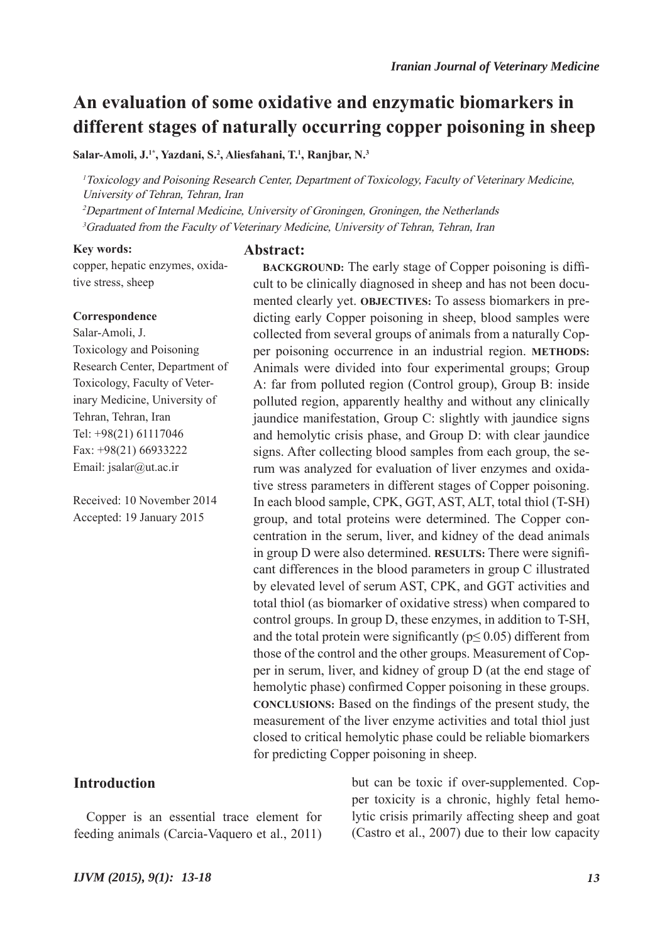# **An evaluation of some oxidative and enzymatic biomarkers in different stages of naturally occurring copper poisoning in sheep**

**Salar-Amoli, J.1\*, Yazdani, S.2 , Aliesfahani, T.1 , Ranjbar, N.3**

<sup>1</sup>Toxicology and Poisoning Research Center, Department of Toxicology, Faculty of Veterinary Medicine, University of Tehran, Tehran, Iran

<sup>2</sup>Department of Internal Medicine, University of Groningen, Groningen, the Netherlands

<sup>3</sup>Graduated from the Faculty of Veterinary Medicine, University of Tehran, Tehran, Iran

#### **Key words:**

**Abstract:**

copper, hepatic enzymes, oxidative stress, sheep

#### **Correspondence**

Salar-Amoli, J. Toxicology and Poisoning Research Center, Department of Toxicology, Faculty of Veterinary Medicine, University of Tehran, Tehran, Iran Tel: +98(21) 61117046 Fax: +98(21) 66933222 Email: jsalar@ut.ac.ir

Received: 10 November 2014 Accepted: 19 January 2015

# **Introduction**

Copper is an essential trace element for feeding animals (Carcia-Vaquero et al., 2011)

**BACKGROUND:** The early stage of Copper poisoning is difficult to be clinically diagnosed in sheep and has not been documented clearly yet. **OBJECTIVES:** To assess biomarkers in predicting early Copper poisoning in sheep, blood samples were collected from several groups of animals from a naturally Copper poisoning occurrence in an industrial region. **METHODS:** Animals were divided into four experimental groups; Group A: far from polluted region (Control group), Group B: inside polluted region, apparently healthy and without any clinically jaundice manifestation, Group C: slightly with jaundice signs and hemolytic crisis phase, and Group D: with clear jaundice signs. After collecting blood samples from each group, the serum was analyzed for evaluation of liver enzymes and oxidative stress parameters in different stages of Copper poisoning. In each blood sample, CPK, GGT, AST, ALT, total thiol (T-SH) group, and total proteins were determined. The Copper concentration in the serum, liver, and kidney of the dead animals in group D were also determined. **RESULTS:** There were significant differences in the blood parameters in group C illustrated by elevated level of serum AST, CPK, and GGT activities and total thiol (as biomarker of oxidative stress) when compared to control groups. In group D, these enzymes, in addition to T-SH, and the total protein were significantly ( $p \le 0.05$ ) different from those of the control and the other groups. Measurement of Copper in serum, liver, and kidney of group D (at the end stage of hemolytic phase) confirmed Copper poisoning in these groups. **CONCLUSIONS:** Based on the findings of the present study, the measurement of the liver enzyme activities and total thiol just closed to critical hemolytic phase could be reliable biomarkers for predicting Copper poisoning in sheep.

> but can be toxic if over-supplemented. Copper toxicity is a chronic, highly fetal hemolytic crisis primarily affecting sheep and goat (Castro et al., 2007) due to their low capacity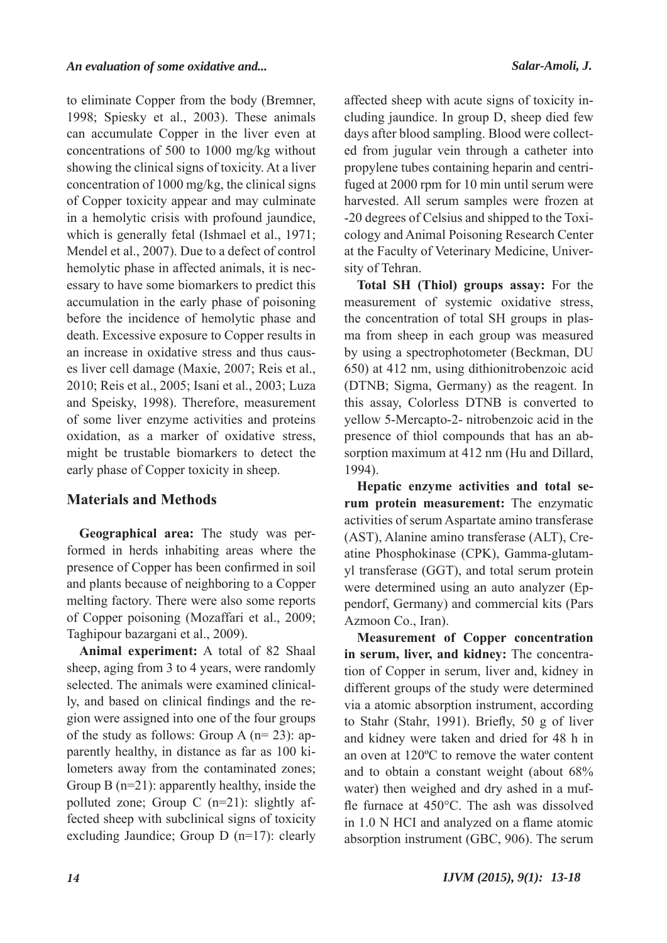to eliminate Copper from the body (Bremner, 1998; Spiesky et al., 2003). These animals can accumulate Copper in the liver even at concentrations of 500 to 1000 mg/kg without showing the clinical signs of toxicity. At a liver concentration of 1000 mg/kg, the clinical signs of Copper toxicity appear and may culminate in a hemolytic crisis with profound jaundice, which is generally fetal (Ishmael et al., 1971; Mendel et al., 2007). Due to a defect of control hemolytic phase in affected animals, it is necessary to have some biomarkers to predict this accumulation in the early phase of poisoning before the incidence of hemolytic phase and death. Excessive exposure to Copper results in an increase in oxidative stress and thus causes liver cell damage (Maxie, 2007; Reis et al., 2010; Reis et al., 2005; Isani et al., 2003; Luza and Speisky, 1998). Therefore, measurement of some liver enzyme activities and proteins oxidation, as a marker of oxidative stress, might be trustable biomarkers to detect the early phase of Copper toxicity in sheep.

# **Materials and Methods**

**Geographical area:** The study was performed in herds inhabiting areas where the presence of Copper has been confirmed in soil and plants because of neighboring to a Copper melting factory. There were also some reports of Copper poisoning (Mozaffari et al., 2009; Taghipour bazargani et al., 2009).

**Animal experiment:** A total of 82 Shaal sheep, aging from 3 to 4 years, were randomly selected. The animals were examined clinically, and based on clinical findings and the region were assigned into one of the four groups of the study as follows: Group A  $(n=23)$ : apparently healthy, in distance as far as 100 kilometers away from the contaminated zones; Group B (n=21): apparently healthy, inside the polluted zone; Group C (n=21): slightly affected sheep with subclinical signs of toxicity excluding Jaundice; Group D (n=17): clearly

affected sheep with acute signs of toxicity including jaundice. In group D, sheep died few days after blood sampling. Blood were collected from jugular vein through a catheter into propylene tubes containing heparin and centrifuged at 2000 rpm for 10 min until serum were harvested. All serum samples were frozen at -20 degrees of Celsius and shipped to the Toxicology and Animal Poisoning Research Center at the Faculty of Veterinary Medicine, University of Tehran.

**Total SH (Thiol) groups assay:** For the measurement of systemic oxidative stress, the concentration of total SH groups in plasma from sheep in each group was measured by using a spectrophotometer (Beckman, DU 650) at 412 nm, using dithionitrobenzoic acid (DTNB; Sigma, Germany) as the reagent. In this assay, Colorless DTNB is converted to yellow 5-Mercapto-2- nitrobenzoic acid in the presence of thiol compounds that has an absorption maximum at 412 nm (Hu and Dillard, 1994).

**Hepatic enzyme activities and total serum protein measurement:** The enzymatic activities of serum Aspartate amino transferase (AST), Alanine amino transferase (ALT), Creatine Phosphokinase (CPK), Gamma-glutamyl transferase (GGT), and total serum protein were determined using an auto analyzer (Eppendorf, Germany) and commercial kits (Pars Azmoon Co., Iran).

**Measurement of Copper concentration in serum, liver, and kidney:** The concentration of Copper in serum, liver and, kidney in different groups of the study were determined via a atomic absorption instrument, according to Stahr (Stahr, 1991). Briefly, 50 g of liver and kidney were taken and dried for 48 h in an oven at 120ºC to remove the water content and to obtain a constant weight (about 68% water) then weighed and dry ashed in a muffle furnace at 450°C. The ash was dissolved in 1.0 N HCI and analyzed on a flame atomic absorption instrument (GBC, 906). The serum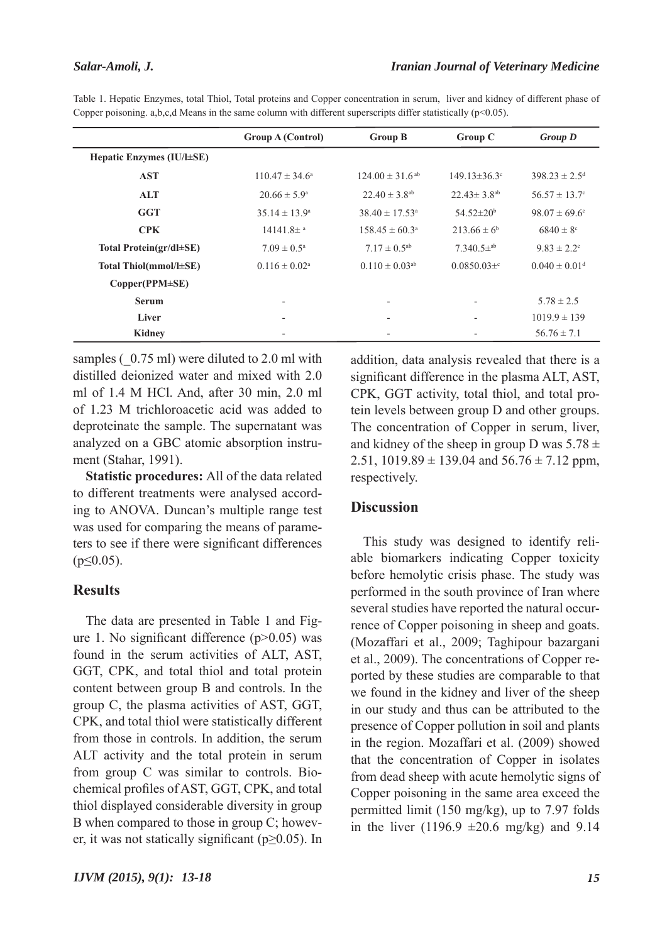#### *Salar-Amoli, J.*

|                           | <b>Group A (Control)</b>    | <b>Group B</b>                  | <b>Group C</b>                | <b>Group D</b>                |
|---------------------------|-----------------------------|---------------------------------|-------------------------------|-------------------------------|
| Hepatic Enzymes (IU/l±SE) |                             |                                 |                               |                               |
| <b>AST</b>                | $110.47 \pm 34.6^{\circ}$   | $124.00 \pm 31.6$ <sup>ab</sup> | $149.13 \pm 36.3$ °           | $398.23 \pm 2.5$ <sup>d</sup> |
| <b>ALT</b>                | $20.66 \pm 5.9^{\circ}$     | $22.40 \pm 3.8$ <sup>ab</sup>   | $22.43 \pm 3.8$ <sup>ab</sup> | $56.57 \pm 13.7$ °            |
| <b>GGT</b>                | $35.14 \pm 13.9^a$          | $38.40 \pm 17.53$ <sup>a</sup>  | 54.52±20 <sup>b</sup>         | $98.07 \pm 69.6$ °            |
| <b>CPK</b>                | $14141.8\pm$ <sup>a</sup>   | $158.45 \pm 60.3^{\circ}$       | $213.66 \pm 6^b$              | $6840 \pm 8$ °                |
| Total Protein(gr/dl±SE)   | $7.09 \pm 0.5^{\text{a}}$   | $7.17 \pm 0.5^{ab}$             | $7.340.5\pm^{ab}$             | $9.83 \pm 2.2$ <sup>c</sup>   |
| Total Thiol(mmol/l±SE)    | $0.116 \pm 0.02^{\text{a}}$ | $0.110 \pm 0.03$ <sup>ab</sup>  | $0.0850.03\pm c$              | $0.040 \pm 0.01$ <sup>d</sup> |
| Copper(PPM±SE)            |                             |                                 |                               |                               |
| <b>Serum</b>              | $\overline{\phantom{a}}$    | $\overline{\phantom{a}}$        | $\overline{\phantom{a}}$      | $5.78 \pm 2.5$                |
| Liver                     |                             |                                 | $\blacksquare$                | $1019.9 \pm 139$              |
| Kidney                    |                             |                                 |                               | $56.76 \pm 7.1$               |

Table 1. Hepatic Enzymes, total Thiol, Total proteins and Copper concentration in serum, liver and kidney of different phase of Copper poisoning. a,b,c,d Means in the same column with different superscripts differ statistically ( $p<0.05$ ).

samples  $(0.75 \text{ ml})$  were diluted to 2.0 ml with distilled deionized water and mixed with 2.0 ml of 1.4 M HCl. And, after 30 min, 2.0 ml of 1.23 M trichloroacetic acid was added to deproteinate the sample. The supernatant was analyzed on a GBC atomic absorption instrument (Stahar, 1991).

**Statistic procedures:** All of the data related to different treatments were analysed according to ANOVA. Duncan's multiple range test was used for comparing the means of parameters to see if there were significant differences  $(p \le 0.05)$ .

#### **Results**

The data are presented in Table 1 and Figure 1. No significant difference (p>0.05) was found in the serum activities of ALT, AST, GGT, CPK, and total thiol and total protein content between group B and controls. In the group C, the plasma activities of AST, GGT, CPK, and total thiol were statistically different from those in controls. In addition, the serum ALT activity and the total protein in serum from group C was similar to controls. Biochemical profiles of AST, GGT, CPK, and total thiol displayed considerable diversity in group B when compared to those in group C; however, it was not statically significant ( $p \ge 0.05$ ). In

addition, data analysis revealed that there is a significant difference in the plasma ALT, AST, CPK, GGT activity, total thiol, and total protein levels between group D and other groups. The concentration of Copper in serum, liver, and kidney of the sheep in group D was  $5.78 \pm$ 2.51, 1019.89  $\pm$  139.04 and 56.76  $\pm$  7.12 ppm, respectively.

# **Discussion**

This study was designed to identify reliable biomarkers indicating Copper toxicity before hemolytic crisis phase. The study was performed in the south province of Iran where several studies have reported the natural occurrence of Copper poisoning in sheep and goats. (Mozaffari et al., 2009; Taghipour bazargani et al., 2009). The concentrations of Copper reported by these studies are comparable to that we found in the kidney and liver of the sheep in our study and thus can be attributed to the presence of Copper pollution in soil and plants in the region. Mozaffari et al. (2009) showed that the concentration of Copper in isolates from dead sheep with acute hemolytic signs of Copper poisoning in the same area exceed the permitted limit (150 mg/kg), up to 7.97 folds in the liver (1196.9  $\pm 20.6$  mg/kg) and 9.14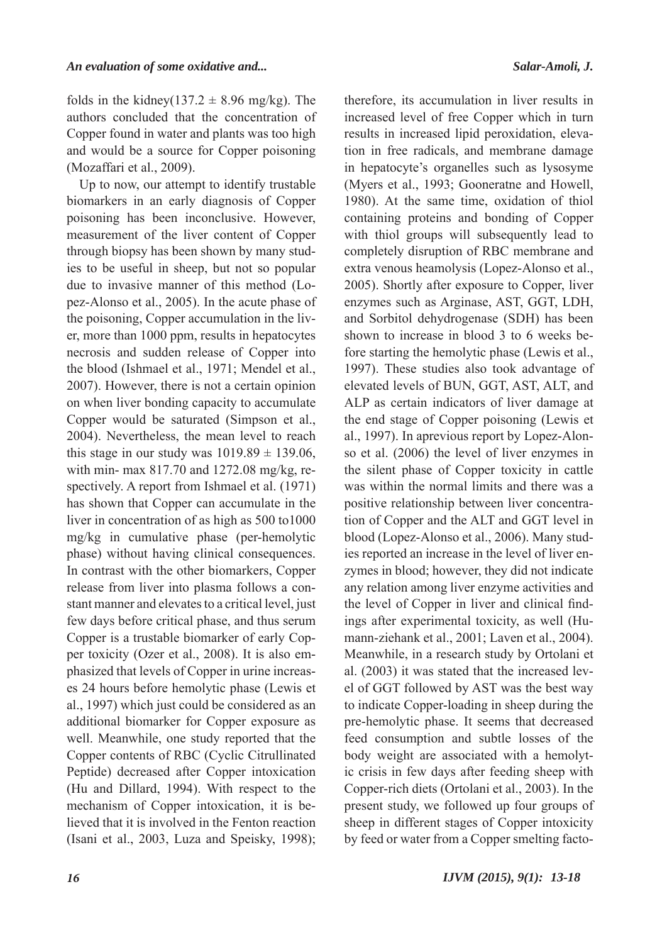folds in the kidney(137.2  $\pm$  8.96 mg/kg). The authors concluded that the concentration of Copper found in water and plants was too high and would be a source for Copper poisoning (Mozaffari et al., 2009).

Up to now, our attempt to identify trustable biomarkers in an early diagnosis of Copper poisoning has been inconclusive. However, measurement of the liver content of Copper through biopsy has been shown by many studies to be useful in sheep, but not so popular due to invasive manner of this method (Lopez-Alonso et al., 2005). In the acute phase of the poisoning, Copper accumulation in the liver, more than 1000 ppm, results in hepatocytes necrosis and sudden release of Copper into the blood (Ishmael et al., 1971; Mendel et al., 2007). However, there is not a certain opinion on when liver bonding capacity to accumulate Copper would be saturated (Simpson et al., 2004). Nevertheless, the mean level to reach this stage in our study was  $1019.89 \pm 139.06$ , with min- max 817.70 and 1272.08 mg/kg, respectively. A report from Ishmael et al. (1971) has shown that Copper can accumulate in the liver in concentration of as high as 500 to1000 mg/kg in cumulative phase (per-hemolytic phase) without having clinical consequences. In contrast with the other biomarkers, Copper release from liver into plasma follows a constant manner and elevates to a critical level, just few days before critical phase, and thus serum Copper is a trustable biomarker of early Copper toxicity (Ozer et al., 2008). It is also emphasized that levels of Copper in urine increases 24 hours before hemolytic phase (Lewis et al., 1997) which just could be considered as an additional biomarker for Copper exposure as well. Meanwhile, one study reported that the Copper contents of RBC (Cyclic Citrullinated Peptide) decreased after Copper intoxication (Hu and Dillard, 1994). With respect to the mechanism of Copper intoxication, it is believed that it is involved in the Fenton reaction (Isani et al., 2003, Luza and Speisky, 1998);

therefore, its accumulation in liver results in increased level of free Copper which in turn results in increased lipid peroxidation, elevation in free radicals, and membrane damage in hepatocyte's organelles such as lysosyme (Myers et al., 1993; Gooneratne and Howell, 1980). At the same time, oxidation of thiol containing proteins and bonding of Copper with thiol groups will subsequently lead to completely disruption of RBC membrane and extra venous heamolysis (Lopez-Alonso et al., 2005). Shortly after exposure to Copper, liver enzymes such as Arginase, AST, GGT, LDH, and Sorbitol dehydrogenase (SDH) has been shown to increase in blood 3 to 6 weeks before starting the hemolytic phase (Lewis et al., 1997). These studies also took advantage of elevated levels of BUN, GGT, AST, ALT, and ALP as certain indicators of liver damage at the end stage of Copper poisoning (Lewis et al., 1997). In aprevious report by Lopez-Alonso et al. (2006) the level of liver enzymes in the silent phase of Copper toxicity in cattle was within the normal limits and there was a positive relationship between liver concentration of Copper and the ALT and GGT level in blood (Lopez-Alonso et al., 2006). Many studies reported an increase in the level of liver enzymes in blood; however, they did not indicate any relation among liver enzyme activities and the level of Copper in liver and clinical findings after experimental toxicity, as well (Humann-ziehank et al., 2001; Laven et al., 2004). Meanwhile, in a research study by Ortolani et al. (2003) it was stated that the increased level of GGT followed by AST was the best way to indicate Copper-loading in sheep during the pre-hemolytic phase. It seems that decreased feed consumption and subtle losses of the body weight are associated with a hemolytic crisis in few days after feeding sheep with Copper-rich diets (Ortolani et al., 2003). In the present study, we followed up four groups of sheep in different stages of Copper intoxicity by feed or water from a Copper smelting facto-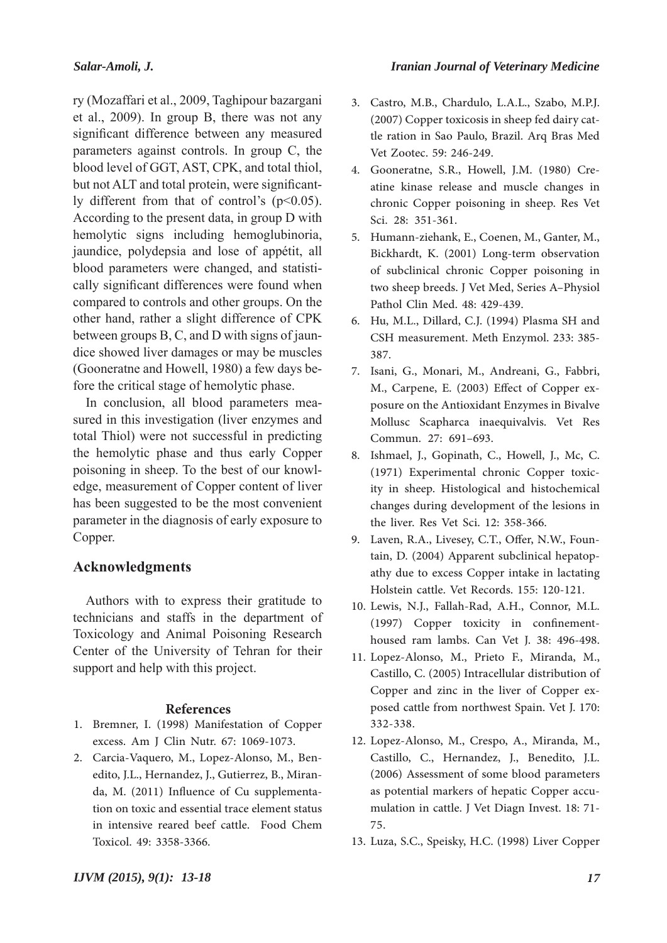# *Salar-Amoli, J.*

ry (Mozaffari et al., 2009, Taghipour bazargani et al., 2009). In group B, there was not any significant difference between any measured parameters against controls. In group C, the blood level of GGT, AST, CPK, and total thiol, but not ALT and total protein, were significantly different from that of control's  $(p<0.05)$ . According to the present data, in group D with hemolytic signs including hemoglubinoria, jaundice, polydepsia and lose of appétit, all blood parameters were changed, and statistically significant differences were found when compared to controls and other groups. On the other hand, rather a slight difference of CPK between groups B, C, and D with signs of jaundice showed liver damages or may be muscles (Gooneratne and Howell, 1980) a few days before the critical stage of hemolytic phase.

In conclusion, all blood parameters measured in this investigation (liver enzymes and total Thiol) were not successful in predicting the hemolytic phase and thus early Copper poisoning in sheep. To the best of our knowledge, measurement of Copper content of liver has been suggested to be the most convenient parameter in the diagnosis of early exposure to Copper.

# **Acknowledgments**

Authors with to express their gratitude to technicians and staffs in the department of Toxicology and Animal Poisoning Research Center of the University of Tehran for their support and help with this project.

#### **References**

- 1. Bremner, I. (1998) Manifestation of Copper excess. Am J Clin Nutr. 67: 1069-1073.
- 2. Carcia-Vaquero, M., Lopez-Alonso, M., Benedito, J.L., Hernandez, J., Gutierrez, B., Miranda, M. (2011) Influence of Cu supplementation on toxic and essential trace element status in intensive reared beef cattle. Food Chem Toxicol. 49: 3358-3366.
- Castro, M.B., Chardulo, L.A.L., Szabo, M.P.J. 3. (2007) Copper toxicosis in sheep fed dairy cattle ration in Sao Paulo, Brazil. Arq Bras Med Vet Zootec. 59: 246-249.
- Gooneratne, S.R., Howell, J.M. (1980) Cre-4. atine kinase release and muscle changes in chronic Copper poisoning in sheep. Res Vet Sci. 28: 351-361.
- 5. Humann-ziehank, E., Coenen, M., Ganter, M., Bickhardt, K. (2001) Long-term observation of subclinical chronic Copper poisoning in two sheep breeds. J Vet Med, Series A–Physiol Pathol Clin Med. 48: 429-439.
- Hu, M.L., Dillard, C.J. (1994) Plasma SH and 6. CSH measurement. Meth Enzymol. 233: 385- 387.
- 7. Isani, G., Monari, M., Andreani, G., Fabbri, M., Carpene, E. (2003) Effect of Copper exposure on the Antioxidant Enzymes in Bivalve Mollusc Scapharca inaequivalvis. Vet Res Commun. 27: 691–693.
- 8. Ishmael, J., Gopinath, C., Howell, J., Mc, C. (1971) Experimental chronic Copper toxicity in sheep. Histological and histochemical changes during development of the lesions in the liver. Res Vet Sci. 12: 358-366.
- 9. Laven, R.A., Livesey, C.T., Offer, N.W., Fountain, D. (2004) Apparent subclinical hepatopathy due to excess Copper intake in lactating Holstein cattle. Vet Records. 155: 120-121.
- 10. Lewis, N.J., Fallah-Rad, A.H., Connor, M.L. (1997) Copper toxicity in confinementhoused ram lambs. Can Vet J. 38: 496-498.
- 11. Lopez-Alonso, M., Prieto F., Miranda, M., Castillo, C. (2005) Intracellular distribution of Copper and zinc in the liver of Copper exposed cattle from northwest Spain. Vet J. 170: 332-338.
- 12. Lopez-Alonso, M., Crespo, A., Miranda, M., Castillo, C., Hernandez, J., Benedito, J.L. (2006) Assessment of some blood parameters as potential markers of hepatic Copper accumulation in cattle. J Vet Diagn Invest. 18: 71- 75.
- 13. Luza, S.C., Speisky, H.C. (1998) Liver Copper